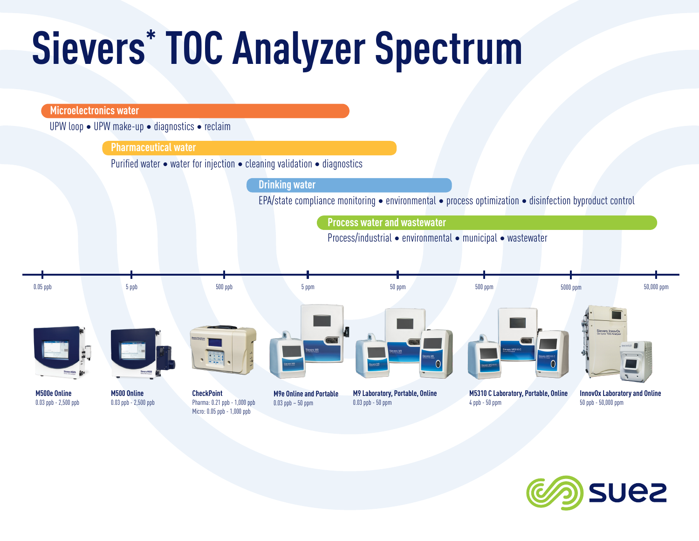# **Sievers\* TOC Analyzer Spectrum**